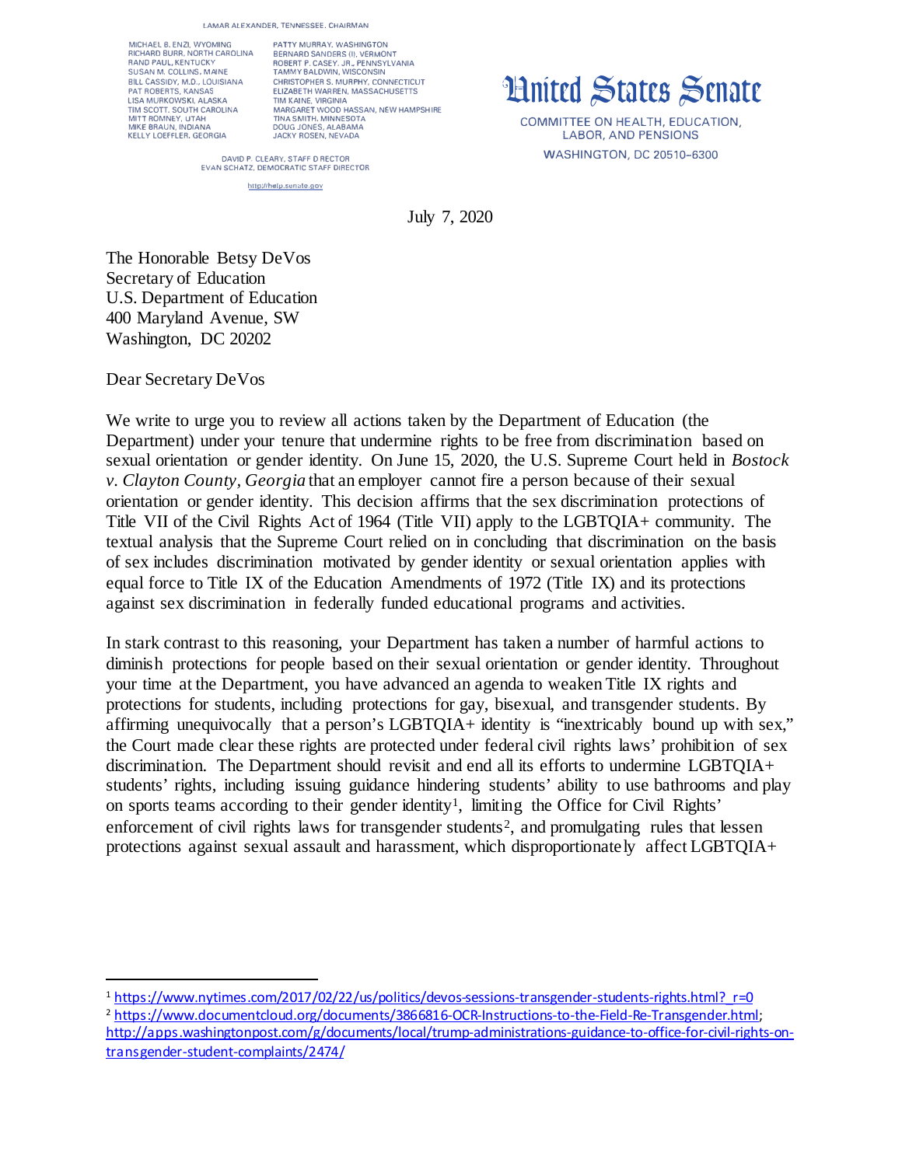**LAMAR ALEXANDER, TENNESSEE, CHAIRMAN** 

MICHAEL 8. ENZI, WYOMING RICHARD BURR. NORTH CARDUNA RANO PAUL, KENTUCKY SUSAN M. COLLINS, MAINE BILL CASSIDY, M.D., LOUISIANA PAT ROBERTS, KANSAS LISA MURKOWSKI, ALASKA TIM SCOTT. SOUTH CAROLINA MITT ROMNEY. UTAH MIKE BRAUN, INDIANA KELLY LOEFFLER, GEORGIA

PATTY MURRAY, WASHINGTON BERNARD SANDERS (I), VERMONT ROBERT P. CASEY, JR., PENNSYLVANIA TAMMY BALDWIN, WISCONSIN CHRISTOPHER S. MURPHY, CONNECTICUT ELIZABETH WARREN, MASSACHUSETTS TIM KAINE, VIRGINIA MARGARET WOOD HASSAN, NEW HAMPSHIRE **TINA SMITH. MINNESOTA**  DOUG JONES, ALABAMA JACKY ROSEN, NEVADA

**ilnitrd �tatrs �rnatr**

COMMITTEE ON HEALTH, EDUCATION, LABOR, AND PENSIONS WASHINGTON, DC 20510-6300

DAVID P. CLEARY, STAFF D RECTOR **EVAN SCHATZ. DEMOCRATIC STAFF OlAECTOR** 

http://help.senate.gov

July 7, 2020

The Honorable Betsy DeVos Secretary of Education U.S. Department of Education 400 Maryland Avenue, SW Washington, DC 20202

Dear Secretary DeVos

We write to urge you to review all actions taken by the Department of Education (the Department) under your tenure that undermine rights to be free from discrimination based on sexual orientation or gender identity. On June 15, 2020, the U.S. Supreme Court held in *Bostock v. Clayton County, Georgia* that an employer cannot fire a person because of their sexual orientation or gender identity. This decision affirms that the sex discrimination protections of Title VII of the Civil Rights Act of 1964 (Title VII) apply to the LGBTQIA+ community. The textual analysis that the Supreme Court relied on in concluding that discrimination on the basis of sex includes discrimination motivated by gender identity or sexual orientation applies with equal force to Title IX of the Education Amendments of 1972 (Title IX) and its protections against sex discrimination in federally funded educational programs and activities.

In stark contrast to this reasoning, your Department has taken a number of harmful actions to diminish protections for people based on their sexual orientation or gender identity. Throughout your time at the Department, you have advanced an agenda to weaken Title IX rights and protections for students, including protections for gay, bisexual, and transgender students. By affirming unequivocally that a person's LGBTQIA+ identity is "inextricably bound up with sex," the Court made clear these rights are protected under federal civil rights laws' prohibition of sex discrimination. The Department should revisit and end all its efforts to undermine LGBTQIA+ students' rights, including issuing guidance hindering students' ability to use bathrooms and play on sports teams according to their gender identity<sup>[1](#page-0-0)</sup>, limiting the Office for Civil Rights' enforcement of civil rights laws for transgender students<sup>[2](#page-0-1)</sup>, and promulgating rules that lessen protections against sexual assault and harassment, which disproportionately affect LGBTQIA+

<span id="page-0-0"></span><sup>1</sup> [https://www.nytimes.com/2017/02/22/us/politics/devos-sessions-transgender-students-rights.html?\\_r=0](https://www.nytimes.com/2017/02/22/us/politics/devos-sessions-transgender-students-rights.html?_r=0)

<span id="page-0-1"></span><sup>2</sup> <https://www.documentcloud.org/documents/3866816-OCR-Instructions-to-the-Field-Re-Transgender.html>; [http://apps.washingtonpost.com/g/documents/local/trump-administrations-guidance-to-office-for-civil-rights-on](http://apps.washingtonpost.com/g/documents/local/trump-administrations-guidance-to-office-for-civil-rights-on-transgender-student-complaints/2474/)[transgender-student-complaints/2474/](http://apps.washingtonpost.com/g/documents/local/trump-administrations-guidance-to-office-for-civil-rights-on-transgender-student-complaints/2474/)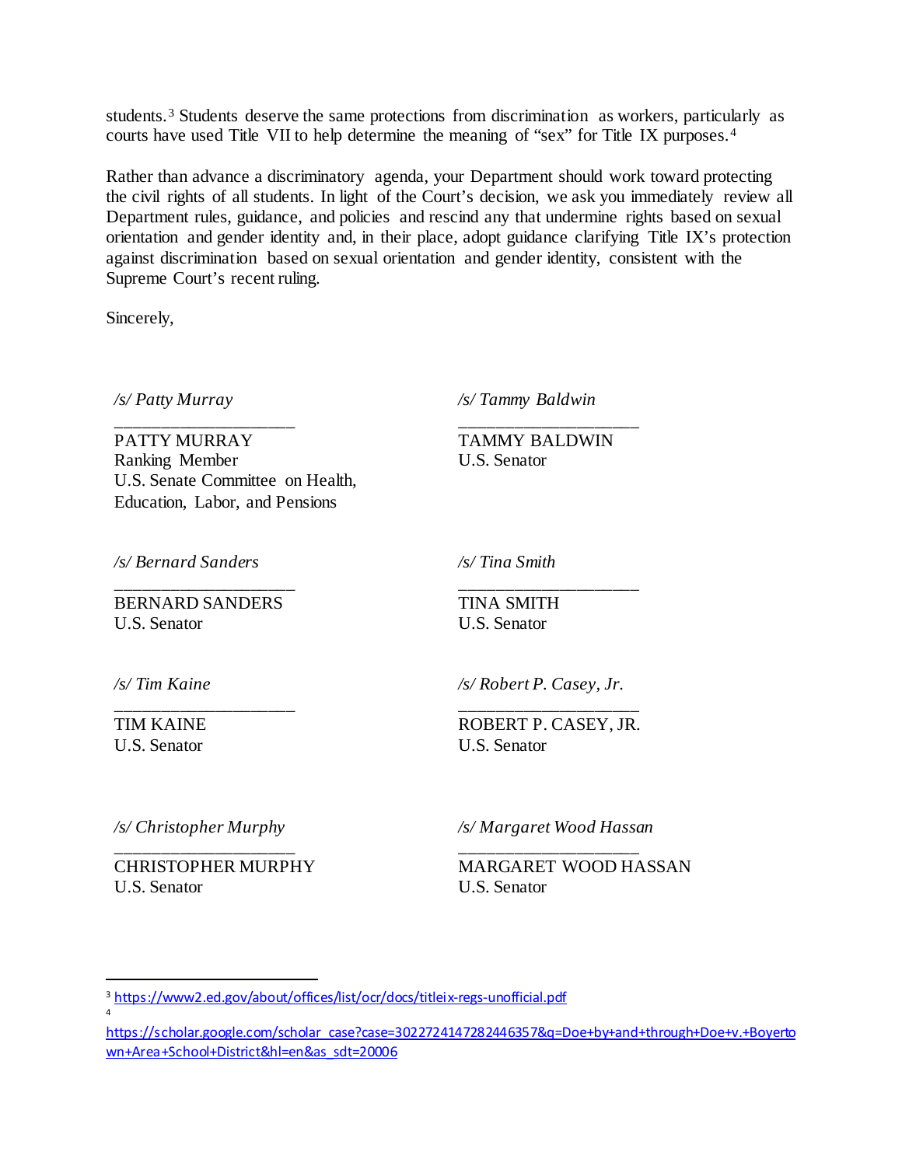students.<sup>[3](#page-1-0)</sup> Students deserve the same protections from discrimination as workers, particularly as courts have used Title VII to help determine the meaning of "sex" for Title IX purposes.[4](#page-1-1)

Rather than advance a discriminatory agenda, your Department should work toward protecting the civil rights of all students. In light of the Court's decision, we ask you immediately review all Department rules, guidance, and policies and rescind any that undermine rights based on sexual orientation and gender identity and, in their place, adopt guidance clarifying Title IX's protection against discrimination based on sexual orientation and gender identity, consistent with the Supreme Court's recent ruling.

Sincerely,

*/s/ Patty Murray*

\_\_\_\_\_\_\_\_\_\_\_\_\_\_\_\_\_\_\_\_ PATTY MURRAY Ranking Member U.S. Senate Committee on Health, Education, Labor, and Pensions

*/s/ Tammy Baldwin*

TAMMY BALDWIN U.S. Senator

\_\_\_\_\_\_\_\_\_\_\_\_\_\_\_\_\_\_\_\_

*/s/ Bernard Sanders*

BERNARD SANDERS U.S. Senator

\_\_\_\_\_\_\_\_\_\_\_\_\_\_\_\_\_\_\_\_

*/s/ Tina Smith*

TINA SMITH U.S. Senator

*/s/ Tim Kaine*

\_\_\_\_\_\_\_\_\_\_\_\_\_\_\_\_\_\_\_\_ TIM KAINE U.S. Senator

4

*/s/ Robert P. Casey, Jr.*

\_\_\_\_\_\_\_\_\_\_\_\_\_\_\_\_\_\_\_\_

\_\_\_\_\_\_\_\_\_\_\_\_\_\_\_\_\_\_\_\_ ROBERT P. CASEY, JR. U.S. Senator

*/s/ Christopher Murphy*

\_\_\_\_\_\_\_\_\_\_\_\_\_\_\_\_\_\_\_\_ CHRISTOPHER MURPHY U.S. Senator

*/s/ Margaret Wood Hassan*

\_\_\_\_\_\_\_\_\_\_\_\_\_\_\_\_\_\_\_\_ MARGARET WOOD HASSAN U.S. Senator

<span id="page-1-0"></span><sup>&</sup>lt;sup>3</sup> <https://www2.ed.gov/about/offices/list/ocr/docs/titleix-regs-unofficial.pdf>

<span id="page-1-1"></span>[https://scholar.google.com/scholar\\_case?case=3022724147282446357&q=Doe+by+and+through+Doe+v.+Boyerto](https://scholar.google.com/scholar_case?case=3022724147282446357&q=Doe+by+and+through+Doe+v.+Boyertown+Area+School+District&hl=en&as_sdt=20006) [wn+Area+School+District&hl=en&as\\_sdt=20006](https://scholar.google.com/scholar_case?case=3022724147282446357&q=Doe+by+and+through+Doe+v.+Boyertown+Area+School+District&hl=en&as_sdt=20006)